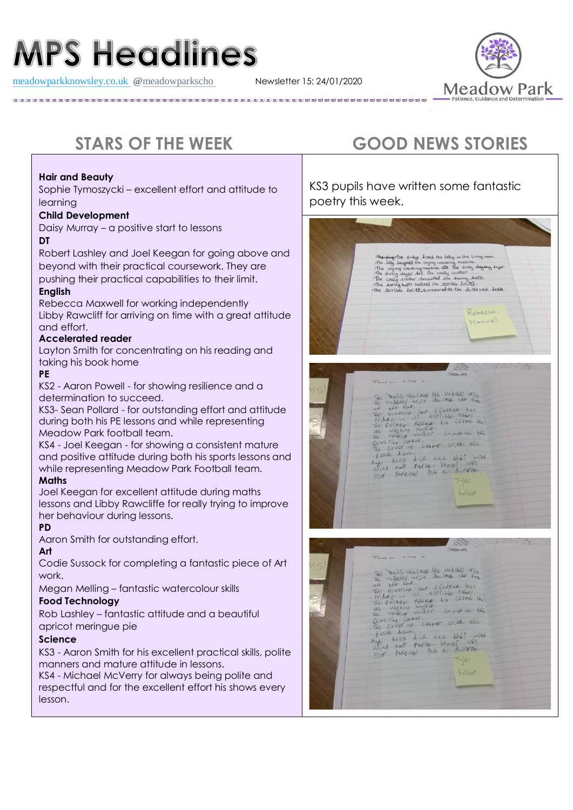# **MPS Headlines**

[meadowparkknowsley.co.uk](https://t.co/znDDto23ds) **@**[meadowparkscho](https://twitter.com/meadowparkscho) Newsletter 15: 24/01/2020



#### **Hair and Beauty**

Sophie Tymoszycki – excellent effort and attitude to learning

#### **Child Development**

Daisy Murray – a positive start to lessons

#### **DT**

Robert Lashley and Joel Keegan for going above and beyond with their practical coursework. They are pushing their practical capabilities to their limit.

#### **English**

Rebecca Maxwell for working independently Libby Rawcliff for arriving on time with a great attitude and effort.

#### **Accelerated reader**

Layton Smith for concentrating on his reading and taking his book home

### **PE**

KS2 - Aaron Powell - for showing resilience and a determination to succeed.

KS3- Sean Pollard - for outstanding effort and attitude during both his PE lessons and while representing Meadow Park football team.

KS4 - Joel Keegan - for showing a consistent mature and positive attitude during both his sports lessons and while representing Meadow Park Football team.

#### **Maths**

Joel Keegan for excellent attitude during maths lessons and Libby Rawcliffe for really trying to improve her behaviour during lessons.

#### **PD**

Aaron Smith for outstanding effort.

#### **Art**

Codie Sussock for completing a fantastic piece of Art work.

Megan Melling – fantastic watercolour skills

#### **Food Technology**

Rob Lashley – fantastic attitude and a beautiful apricot meringue pie

#### **Science**

KS3 - Aaron Smith for his excellent practical skills, polite manners and mature attitude in lessons.

KS4 - Michael McVerry for always being polite and respectful and for the excellent effort his shows every lesson.

## **STARS OF THE WEEK GOOD NEWS STORIES**

KS3 pupils have written some fantastic poetry this week.